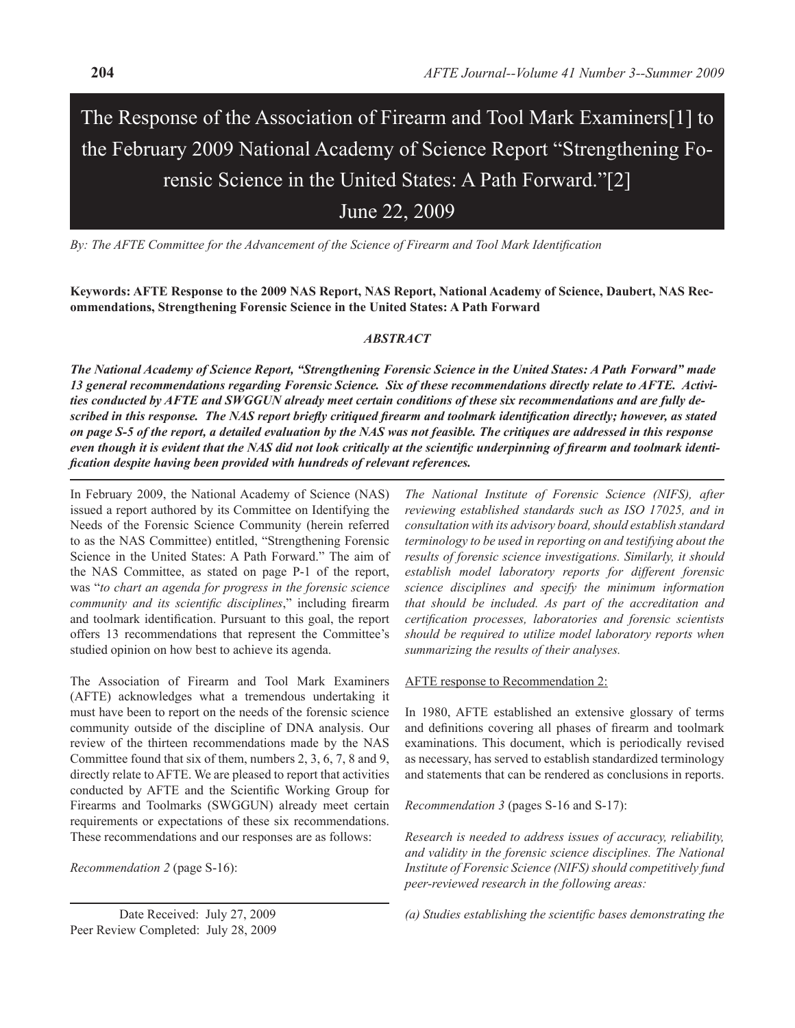The Response of the Association of Firearm and Tool Mark Examiners[1] to the February 2009 National Academy of Science Report "Strengthening Forensic Science in the United States: A Path Forward."[2]

June 22, 2009

*By: The AFTE Committee for the Advancement of the Science of Firearm and Tool Mark Identification*

**Keywords: AFTE Response to the 2009 NAS Report, NAS Report, National Academy of Science, Daubert, NAS Recommendations, Strengthening Forensic Science in the United States: A Path Forward**

#### *ABSTRACT*

*The National Academy of Science Report, "Strengthening Forensic Science in the United States: A Path Forward" made 13 general recommendations regarding Forensic Science. Six of these recommendations directly relate to AFTE. Activities conducted by AFTE and SWGGUN already meet certain conditions of these six recommendations and are fully described in this response. The NAS report briefly critiqued firearm and toolmark identification directly; however, as stated on page S-5 of the report, a detailed evaluation by the NAS was not feasible. The critiques are addressed in this response even though it is evident that the NAS did not look critically at the scientific underpinning of firearm and toolmark identification despite having been provided with hundreds of relevant references.* 

In February 2009, the National Academy of Science (NAS) issued a report authored by its Committee on Identifying the Needs of the Forensic Science Community (herein referred to as the NAS Committee) entitled, "Strengthening Forensic Science in the United States: A Path Forward." The aim of the NAS Committee, as stated on page P-1 of the report, was "*to chart an agenda for progress in the forensic science community and its scientific disciplines*," including firearm and toolmark identification. Pursuant to this goal, the report offers 13 recommendations that represent the Committee's studied opinion on how best to achieve its agenda.

The Association of Firearm and Tool Mark Examiners (AFTE) acknowledges what a tremendous undertaking it must have been to report on the needs of the forensic science community outside of the discipline of DNA analysis. Our review of the thirteen recommendations made by the NAS Committee found that six of them, numbers 2, 3, 6, 7, 8 and 9, directly relate to AFTE. We are pleased to report that activities conducted by AFTE and the Scientific Working Group for Firearms and Toolmarks (SWGGUN) already meet certain requirements or expectations of these six recommendations. These recommendations and our responses are as follows:

*Recommendation 2* (page S-16):

Peer Review Completed: July 28, 2009

*The National Institute of Forensic Science (NIFS), after reviewing established standards such as ISO 17025, and in consultation with its advisory board, should establish standard terminology to be used in reporting on and testifying about the results of forensic science investigations. Similarly, it should establish model laboratory reports for different forensic science disciplines and specify the minimum information that should be included. As part of the accreditation and certification processes, laboratories and forensic scientists should be required to utilize model laboratory reports when summarizing the results of their analyses.*

#### AFTE response to Recommendation 2:

In 1980, AFTE established an extensive glossary of terms and definitions covering all phases of firearm and toolmark examinations. This document, which is periodically revised as necessary, has served to establish standardized terminology and statements that can be rendered as conclusions in reports.

*Recommendation 3* (pages S-16 and S-17):

*Research is needed to address issues of accuracy, reliability, and validity in the forensic science disciplines. The National Institute of Forensic Science (NIFS) should competitively fund peer-reviewed research in the following areas:*

Date Received: July 27, 2009 *(a) Studies establishing the scientific bases demonstrating the*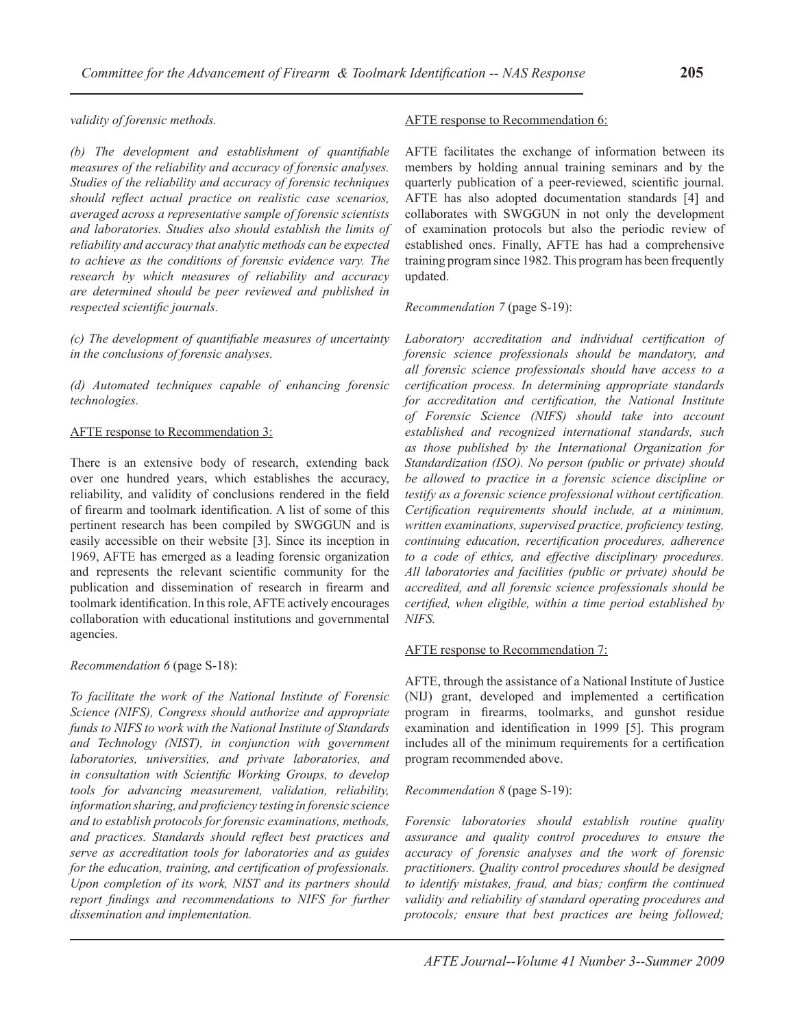# *validity of forensic methods.*

*(b) The development and establishment of quantifiable measures of the reliability and accuracy of forensic analyses. Studies of the reliability and accuracy of forensic techniques should reflect actual practice on realistic case scenarios, averaged across a representative sample of forensic scientists and laboratories. Studies also should establish the limits of reliability and accuracy that analytic methods can be expected to achieve as the conditions of forensic evidence vary. The research by which measures of reliability and accuracy are determined should be peer reviewed and published in respected scientific journals.*

*(c) The development of quantifiable measures of uncertainty in the conclusions of forensic analyses.*

*(d) Automated techniques capable of enhancing forensic technologies.*

### AFTE response to Recommendation 3:

There is an extensive body of research, extending back over one hundred years, which establishes the accuracy, reliability, and validity of conclusions rendered in the field of firearm and toolmark identification. A list of some of this pertinent research has been compiled by SWGGUN and is easily accessible on their website [3]. Since its inception in 1969, AFTE has emerged as a leading forensic organization and represents the relevant scientific community for the publication and dissemination of research in firearm and toolmark identification. In this role, AFTE actively encourages collaboration with educational institutions and governmental agencies.

## *Recommendation 6* (page S-18):

*To facilitate the work of the National Institute of Forensic Science (NIFS), Congress should authorize and appropriate funds to NIFS to work with the National Institute of Standards and Technology (NIST), in conjunction with government laboratories, universities, and private laboratories, and in consultation with Scientific Working Groups, to develop tools for advancing measurement, validation, reliability, information sharing, and proficiency testing in forensic science and to establish protocols for forensic examinations, methods, and practices. Standards should reflect best practices and serve as accreditation tools for laboratories and as guides for the education, training, and certification of professionals. Upon completion of its work, NIST and its partners should report findings and recommendations to NIFS for further dissemination and implementation.*

## AFTE response to Recommendation 6:

AFTE facilitates the exchange of information between its members by holding annual training seminars and by the quarterly publication of a peer-reviewed, scientific journal. AFTE has also adopted documentation standards [4] and collaborates with SWGGUN in not only the development of examination protocols but also the periodic review of established ones. Finally, AFTE has had a comprehensive training program since 1982. This program has been frequently updated.

### *Recommendation 7* (page S-19):

*Laboratory accreditation and individual certification of forensic science professionals should be mandatory, and all forensic science professionals should have access to a certification process. In determining appropriate standards for accreditation and certification, the National Institute of Forensic Science (NIFS) should take into account established and recognized international standards, such as those published by the International Organization for Standardization (ISO). No person (public or private) should be allowed to practice in a forensic science discipline or testify as a forensic science professional without certification. Certification requirements should include, at a minimum, written examinations, supervised practice, proficiency testing, continuing education, recertification procedures, adherence to a code of ethics, and effective disciplinary procedures. All laboratories and facilities (public or private) should be accredited, and all forensic science professionals should be certified, when eligible, within a time period established by NIFS.*

### AFTE response to Recommendation 7:

AFTE, through the assistance of a National Institute of Justice (NIJ) grant, developed and implemented a certification program in firearms, toolmarks, and gunshot residue examination and identification in 1999 [5]. This program includes all of the minimum requirements for a certification program recommended above.

### *Recommendation 8* (page S-19):

*Forensic laboratories should establish routine quality assurance and quality control procedures to ensure the accuracy of forensic analyses and the work of forensic practitioners. Quality control procedures should be designed to identify mistakes, fraud, and bias; confirm the continued validity and reliability of standard operating procedures and protocols; ensure that best practices are being followed;*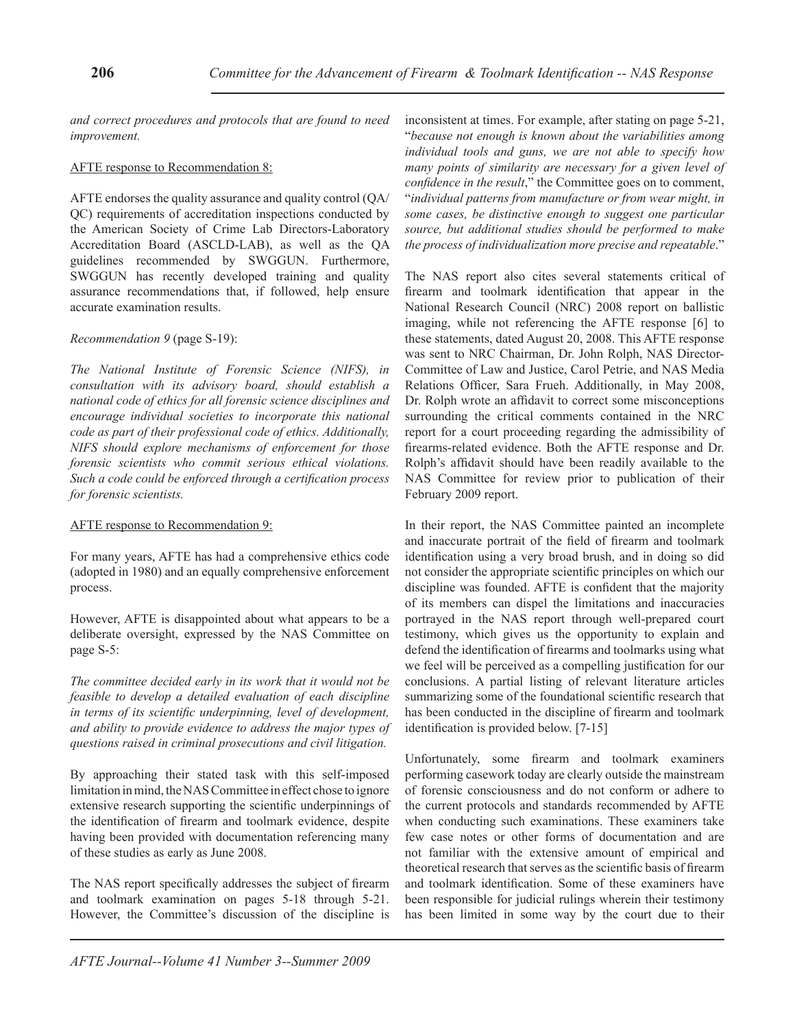*and correct procedures and protocols that are found to need improvement.*

### AFTE response to Recommendation 8:

AFTE endorses the quality assurance and quality control (QA/ QC) requirements of accreditation inspections conducted by the American Society of Crime Lab Directors-Laboratory Accreditation Board (ASCLD-LAB), as well as the QA guidelines recommended by SWGGUN. Furthermore, SWGGUN has recently developed training and quality assurance recommendations that, if followed, help ensure accurate examination results.

## *Recommendation 9* (page S-19):

*The National Institute of Forensic Science (NIFS), in consultation with its advisory board, should establish a national code of ethics for all forensic science disciplines and encourage individual societies to incorporate this national code as part of their professional code of ethics. Additionally, NIFS should explore mechanisms of enforcement for those forensic scientists who commit serious ethical violations. Such a code could be enforced through a certification process for forensic scientists.*

# AFTE response to Recommendation 9:

For many years, AFTE has had a comprehensive ethics code (adopted in 1980) and an equally comprehensive enforcement process.

However, AFTE is disappointed about what appears to be a deliberate oversight, expressed by the NAS Committee on page S-5:

*The committee decided early in its work that it would not be feasible to develop a detailed evaluation of each discipline in terms of its scientific underpinning, level of development, and ability to provide evidence to address the major types of questions raised in criminal prosecutions and civil litigation.*

By approaching their stated task with this self-imposed limitation in mind, the NAS Committee in effect chose to ignore extensive research supporting the scientific underpinnings of the identification of firearm and toolmark evidence, despite having been provided with documentation referencing many of these studies as early as June 2008.

The NAS report specifically addresses the subject of firearm and toolmark examination on pages 5-18 through 5-21. However, the Committee's discussion of the discipline is inconsistent at times. For example, after stating on page 5-21, "*because not enough is known about the variabilities among individual tools and guns, we are not able to specify how many points of similarity are necessary for a given level of confidence in the result*," the Committee goes on to comment, "*individual patterns from manufacture or from wear might, in some cases, be distinctive enough to suggest one particular source, but additional studies should be performed to make the process of individualization more precise and repeatable*."

The NAS report also cites several statements critical of firearm and toolmark identification that appear in the National Research Council (NRC) 2008 report on ballistic imaging, while not referencing the AFTE response [6] to these statements, dated August 20, 2008. This AFTE response was sent to NRC Chairman, Dr. John Rolph, NAS Director-Committee of Law and Justice, Carol Petrie, and NAS Media Relations Officer, Sara Frueh. Additionally, in May 2008, Dr. Rolph wrote an affidavit to correct some misconceptions surrounding the critical comments contained in the NRC report for a court proceeding regarding the admissibility of firearms-related evidence. Both the AFTE response and Dr. Rolph's affidavit should have been readily available to the NAS Committee for review prior to publication of their February 2009 report.

In their report, the NAS Committee painted an incomplete and inaccurate portrait of the field of firearm and toolmark identification using a very broad brush, and in doing so did not consider the appropriate scientific principles on which our discipline was founded. AFTE is confident that the majority of its members can dispel the limitations and inaccuracies portrayed in the NAS report through well-prepared court testimony, which gives us the opportunity to explain and defend the identification of firearms and toolmarks using what we feel will be perceived as a compelling justification for our conclusions. A partial listing of relevant literature articles summarizing some of the foundational scientific research that has been conducted in the discipline of firearm and toolmark identification is provided below. [7-15]

Unfortunately, some firearm and toolmark examiners performing casework today are clearly outside the mainstream of forensic consciousness and do not conform or adhere to the current protocols and standards recommended by AFTE when conducting such examinations. These examiners take few case notes or other forms of documentation and are not familiar with the extensive amount of empirical and theoretical research that serves as the scientific basis of firearm and toolmark identification. Some of these examiners have been responsible for judicial rulings wherein their testimony has been limited in some way by the court due to their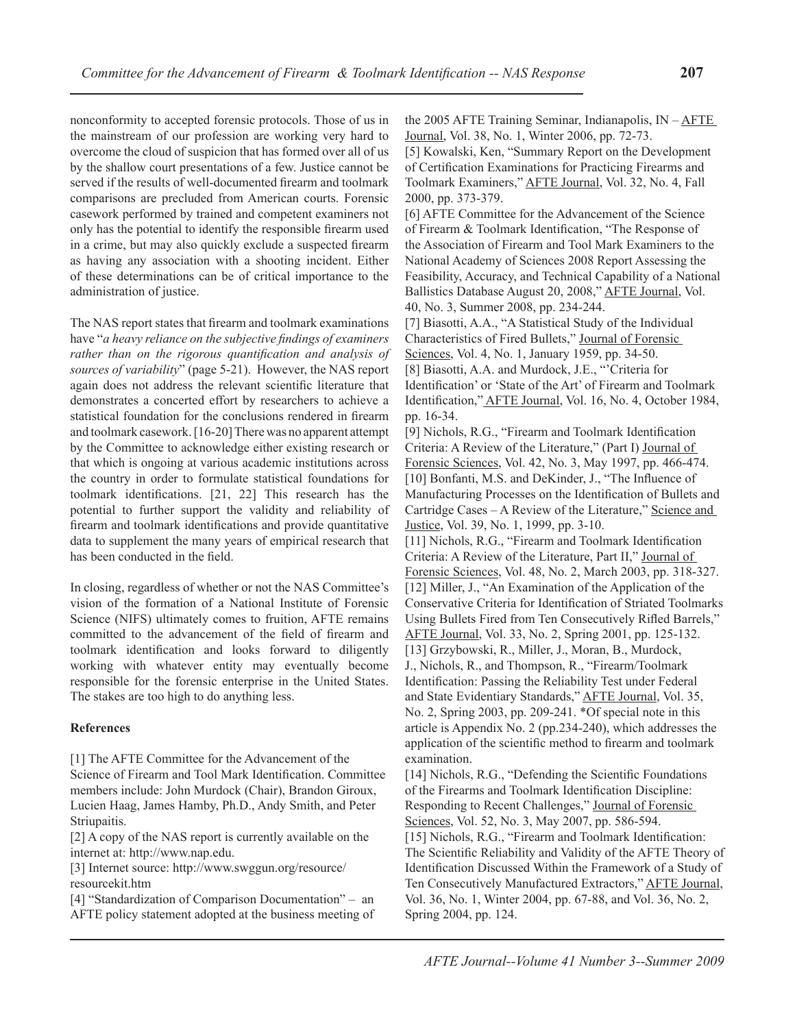nonconformity to accepted forensic protocols. Those of us in the mainstream of our profession are working very hard to overcome the cloud of suspicion that has formed over all of us by the shallow court presentations of a few. Justice cannot be served if the results of well-documented firearm and toolmark comparisons are precluded from American courts. Forensic casework performed by trained and competent examiners not only has the potential to identify the responsible firearm used in a crime, but may also quickly exclude a suspected firearm as having any association with a shooting incident. Either of these determinations can be of critical importance to the administration of justice.

The NAS report states that firearm and toolmark examinations have "*a heavy reliance on the subjective findings of examiners rather than on the rigorous quantification and analysis of sources of variability*" (page 5-21). However, the NAS report again does not address the relevant scientific literature that demonstrates a concerted effort by researchers to achieve a statistical foundation for the conclusions rendered in firearm and toolmark casework. [16-20] There was no apparent attempt by the Committee to acknowledge either existing research or that which is ongoing at various academic institutions across the country in order to formulate statistical foundations for toolmark identifications. [21, 22] This research has the potential to further support the validity and reliability of firearm and toolmark identifications and provide quantitative data to supplement the many years of empirical research that has been conducted in the field.

In closing, regardless of whether or not the NAS Committee's vision of the formation of a National Institute of Forensic Science (NIFS) ultimately comes to fruition, AFTE remains committed to the advancement of the field of firearm and toolmark identification and looks forward to diligently working with whatever entity may eventually become responsible for the forensic enterprise in the United States. The stakes are too high to do anything less.

# **References**

[1] The AFTE Committee for the Advancement of the Science of Firearm and Tool Mark Identification. Committee members include: John Murdock (Chair), Brandon Giroux, Lucien Haag, James Hamby, Ph.D., Andy Smith, and Peter Striupaitis.

[2] A copy of the NAS report is currently available on the internet at: http://www.nap.edu.

[3] Internet source: http://www.swggun.org/resource/ resourcekit.htm

[4] "Standardization of Comparison Documentation" – an AFTE policy statement adopted at the business meeting of the 2005 AFTE Training Seminar, Indianapolis,  $IN - \underline{AFF}$ Journal, Vol. 38, No. 1, Winter 2006, pp. 72-73. [5] Kowalski, Ken, "Summary Report on the Development of Certification Examinations for Practicing Firearms and Toolmark Examiners," AFTE Journal, Vol. 32, No. 4, Fall 2000, pp. 373-379.

[6] AFTE Committee for the Advancement of the Science of Firearm & Toolmark Identification, "The Response of the Association of Firearm and Tool Mark Examiners to the National Academy of Sciences 2008 Report Assessing the Feasibility, Accuracy, and Technical Capability of a National Ballistics Database August 20, 2008," AFTE Journal, Vol. 40, No. 3, Summer 2008, pp. 234-244.

[7] Biasotti, A.A., "A Statistical Study of the Individual Characteristics of Fired Bullets," Journal of Forensic Sciences, Vol. 4, No. 1, January 1959, pp. 34-50. [8] Biasotti, A.A. and Murdock, J.E., "'Criteria for Identification' or 'State of the Art' of Firearm and Toolmark Identification," AFTE Journal, Vol. 16, No. 4, October 1984, pp. 16-34.

[9] Nichols, R.G., "Firearm and Toolmark Identification Criteria: A Review of the Literature," (Part I) Journal of Forensic Sciences, Vol. 42, No. 3, May 1997, pp. 466-474. [10] Bonfanti, M.S. and DeKinder, J., "The Influence of Manufacturing Processes on the Identification of Bullets and Cartridge Cases – A Review of the Literature," Science and Justice, Vol. 39, No. 1, 1999, pp. 3-10.

[11] Nichols, R.G., "Firearm and Toolmark Identification Criteria: A Review of the Literature, Part II," Journal of Forensic Sciences, Vol. 48, No. 2, March 2003, pp. 318-327. [12] Miller, J., "An Examination of the Application of the Conservative Criteria for Identification of Striated Toolmarks Using Bullets Fired from Ten Consecutively Rifled Barrels," AFTE Journal, Vol. 33, No. 2, Spring 2001, pp. 125-132. [13] Grzybowski, R., Miller, J., Moran, B., Murdock, J., Nichols, R., and Thompson, R., "Firearm/Toolmark Identification: Passing the Reliability Test under Federal and State Evidentiary Standards," AFTE Journal, Vol. 35, No. 2, Spring 2003, pp. 209-241. \*Of special note in this article is Appendix No. 2 (pp.234-240), which addresses the application of the scientific method to firearm and toolmark examination.

[14] Nichols, R.G., "Defending the Scientific Foundations of the Firearms and Toolmark Identification Discipline: Responding to Recent Challenges," Journal of Forensic Sciences, Vol. 52, No. 3, May 2007, pp. 586-594. [15] Nichols, R.G., "Firearm and Toolmark Identification: The Scientific Reliability and Validity of the AFTE Theory of Identification Discussed Within the Framework of a Study of Ten Consecutively Manufactured Extractors," AFTE Journal, Vol. 36, No. 1, Winter 2004, pp. 67-88, and Vol. 36, No. 2, Spring 2004, pp. 124.